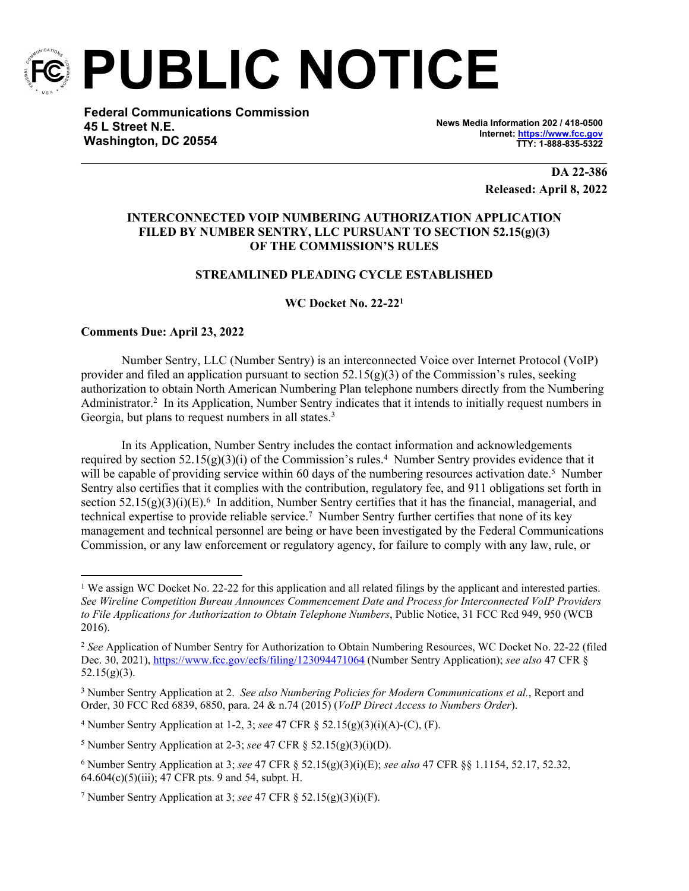

**PUBLIC NOTICE**

**Federal Communications Commission 45 L Street N.E. Washington, DC 20554**

**News Media Information 202 / 418-0500 Internet:<https://www.fcc.gov> TTY: 1-888-835-5322**

> **DA 22-386 Released: April 8, 2022**

### **INTERCONNECTED VOIP NUMBERING AUTHORIZATION APPLICATION FILED BY NUMBER SENTRY, LLC PURSUANT TO SECTION 52.15(g)(3) OF THE COMMISSION'S RULES**

# **STREAMLINED PLEADING CYCLE ESTABLISHED**

**WC Docket No. 22-22<sup>1</sup>**

# **Comments Due: April 23, 2022**

Number Sentry, LLC (Number Sentry) is an interconnected Voice over Internet Protocol (VoIP) provider and filed an application pursuant to section  $52.15(g)(3)$  of the Commission's rules, seeking authorization to obtain North American Numbering Plan telephone numbers directly from the Numbering Administrator.<sup>2</sup> In its Application, Number Sentry indicates that it intends to initially request numbers in Georgia, but plans to request numbers in all states.<sup>3</sup>

In its Application, Number Sentry includes the contact information and acknowledgements required by section  $52.15(g)(3)(i)$  of the Commission's rules.<sup>4</sup> Number Sentry provides evidence that it will be capable of providing service within 60 days of the numbering resources activation date.<sup>5</sup> Number Sentry also certifies that it complies with the contribution, regulatory fee, and 911 obligations set forth in section  $52.15(g)(3)(i)(E)$ .<sup>6</sup> In addition, Number Sentry certifies that it has the financial, managerial, and technical expertise to provide reliable service.<sup>7</sup> Number Sentry further certifies that none of its key management and technical personnel are being or have been investigated by the Federal Communications Commission, or any law enforcement or regulatory agency, for failure to comply with any law, rule, or

<sup>&</sup>lt;sup>1</sup> We assign WC Docket No. 22-22 for this application and all related filings by the applicant and interested parties. *See Wireline Competition Bureau Announces Commencement Date and Process for Interconnected VoIP Providers to File Applications for Authorization to Obtain Telephone Numbers*, Public Notice, 31 FCC Rcd 949, 950 (WCB 2016).

<sup>2</sup> *See* Application of Number Sentry for Authorization to Obtain Numbering Resources, WC Docket No. 22-22 (filed Dec. 30, 2021),<https://www.fcc.gov/ecfs/filing/123094471064> (Number Sentry Application); *see also* 47 CFR §  $52.15(g)(3)$ .

<sup>3</sup> Number Sentry Application at 2. *See also Numbering Policies for Modern Communications et al.*, Report and Order, 30 FCC Rcd 6839, 6850, para. 24 & n.74 (2015) (*VoIP Direct Access to Numbers Order*).

<sup>4</sup> Number Sentry Application at 1-2, 3; *see* 47 CFR § 52.15(g)(3)(i)(A)-(C), (F).

<sup>5</sup> Number Sentry Application at 2-3; *see* 47 CFR § 52.15(g)(3)(i)(D).

<sup>6</sup> Number Sentry Application at 3; *see* 47 CFR § 52.15(g)(3)(i)(E); *see also* 47 CFR §§ 1.1154, 52.17, 52.32,  $64.604(c)(5)(iii)$ ; 47 CFR pts. 9 and 54, subpt. H.

<sup>7</sup> Number Sentry Application at 3; *see* 47 CFR § 52.15(g)(3)(i)(F).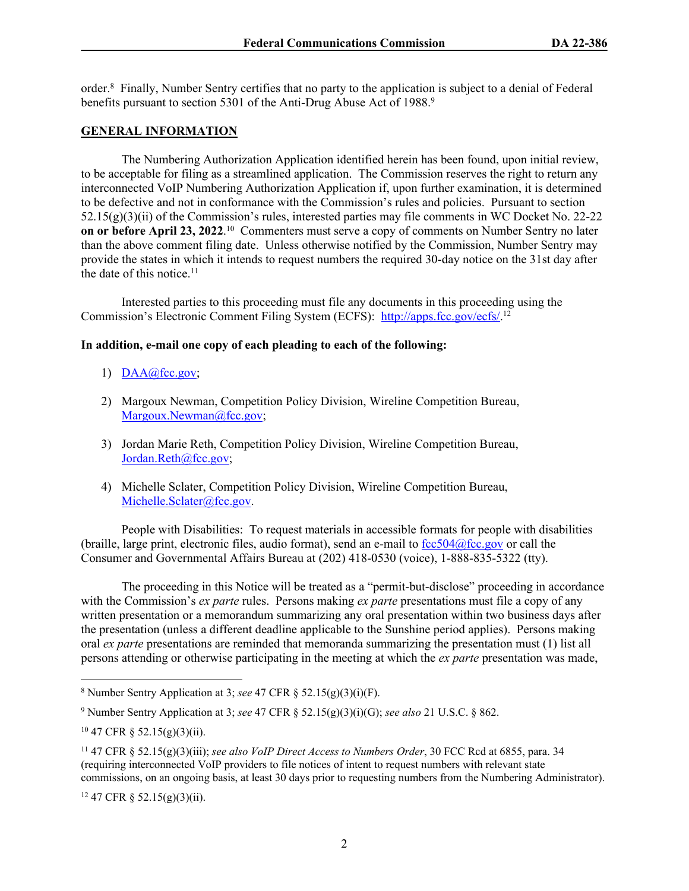order.<sup>8</sup> Finally, Number Sentry certifies that no party to the application is subject to a denial of Federal benefits pursuant to section 5301 of the Anti-Drug Abuse Act of 1988.<sup>9</sup>

#### **GENERAL INFORMATION**

The Numbering Authorization Application identified herein has been found, upon initial review, to be acceptable for filing as a streamlined application. The Commission reserves the right to return any interconnected VoIP Numbering Authorization Application if, upon further examination, it is determined to be defective and not in conformance with the Commission's rules and policies. Pursuant to section 52.15(g)(3)(ii) of the Commission's rules, interested parties may file comments in WC Docket No. 22-22 **on or before April 23, 2022**. <sup>10</sup> Commenters must serve a copy of comments on Number Sentry no later than the above comment filing date. Unless otherwise notified by the Commission, Number Sentry may provide the states in which it intends to request numbers the required 30-day notice on the 31st day after the date of this notice.<sup>11</sup>

Interested parties to this proceeding must file any documents in this proceeding using the Commission's Electronic Comment Filing System (ECFS): <http://apps.fcc.gov/ecfs/>.<sup>12</sup>

#### **In addition, e-mail one copy of each pleading to each of the following:**

- 1) [DAA@fcc.gov;](mailto:DAA@fcc.gov)
- 2) Margoux Newman, Competition Policy Division, Wireline Competition Bureau, [Margoux.Newman@fcc.gov;](mailto:Margoux.Newman@fcc.gov)
- 3) Jordan Marie Reth, Competition Policy Division, Wireline Competition Bureau, [Jordan.Reth@fcc.gov;](mailto:Jordan.Reth@fcc.gov)
- 4) Michelle Sclater, Competition Policy Division, Wireline Competition Bureau, [Michelle.Sclater@fcc.gov](mailto:Michelle.Sclater@fcc.gov).

People with Disabilities: To request materials in accessible formats for people with disabilities (braille, large print, electronic files, audio format), send an e-mail to  $fcc504@$ fcc.gov or call the Consumer and Governmental Affairs Bureau at (202) 418-0530 (voice), 1-888-835-5322 (tty).

The proceeding in this Notice will be treated as a "permit-but-disclose" proceeding in accordance with the Commission's *ex parte* rules. Persons making *ex parte* presentations must file a copy of any written presentation or a memorandum summarizing any oral presentation within two business days after the presentation (unless a different deadline applicable to the Sunshine period applies). Persons making oral *ex parte* presentations are reminded that memoranda summarizing the presentation must (1) list all persons attending or otherwise participating in the meeting at which the *ex parte* presentation was made,

 $12$  47 CFR § 52.15(g)(3)(ii).

<sup>8</sup> Number Sentry Application at 3; *see* 47 CFR § 52.15(g)(3)(i)(F).

<sup>9</sup> Number Sentry Application at 3; *see* 47 CFR § 52.15(g)(3)(i)(G); *see also* 21 U.S.C. § 862.

 $10\,47$  CFR § 52.15(g)(3)(ii).

<sup>11</sup> 47 CFR § 52.15(g)(3)(iii); *see also VoIP Direct Access to Numbers Order*, 30 FCC Rcd at 6855, para. 34 (requiring interconnected VoIP providers to file notices of intent to request numbers with relevant state commissions, on an ongoing basis, at least 30 days prior to requesting numbers from the Numbering Administrator).